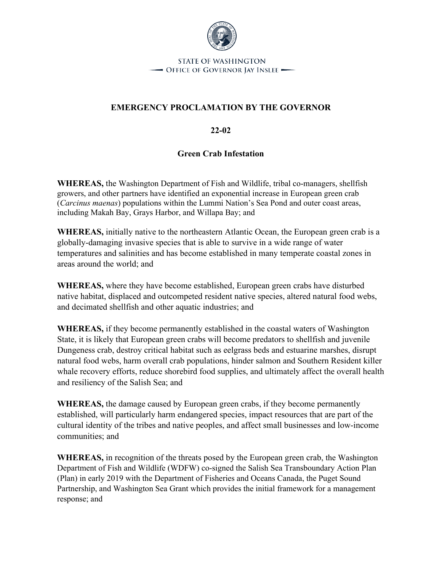

**STATE OF WASHINGTON** - OFFICE OF GOVERNOR JAY INSLEE -

## **EMERGENCY PROCLAMATION BY THE GOVERNOR**

**22-02**

## **Green Crab Infestation**

**WHEREAS,** the Washington Department of Fish and Wildlife, tribal co-managers, shellfish growers, and other partners have identified an exponential increase in European green crab (*Carcinus maenas*) populations within the Lummi Nation's Sea Pond and outer coast areas, including Makah Bay, Grays Harbor, and Willapa Bay; and

**WHEREAS,** initially native to the northeastern Atlantic Ocean, the European green crab is a globally-damaging invasive species that is able to survive in a wide range of water temperatures and salinities and has become established in many temperate coastal zones in areas around the world; and

**WHEREAS,** where they have become established, European green crabs have disturbed native habitat, displaced and outcompeted resident native species, altered natural food webs, and decimated shellfish and other aquatic industries; and

**WHEREAS,** if they become permanently established in the coastal waters of Washington State, it is likely that European green crabs will become predators to shellfish and juvenile Dungeness crab, destroy critical habitat such as eelgrass beds and estuarine marshes, disrupt natural food webs, harm overall crab populations, hinder salmon and Southern Resident killer whale recovery efforts, reduce shorebird food supplies, and ultimately affect the overall health and resiliency of the Salish Sea; and

**WHEREAS,** the damage caused by European green crabs, if they become permanently established, will particularly harm endangered species, impact resources that are part of the cultural identity of the tribes and native peoples, and affect small businesses and low-income communities; and

**WHEREAS,** in recognition of the threats posed by the European green crab, the Washington Department of Fish and Wildlife (WDFW) co-signed the Salish Sea Transboundary Action Plan (Plan) in early 2019 with the Department of Fisheries and Oceans Canada, the Puget Sound Partnership, and Washington Sea Grant which provides the initial framework for a management response; and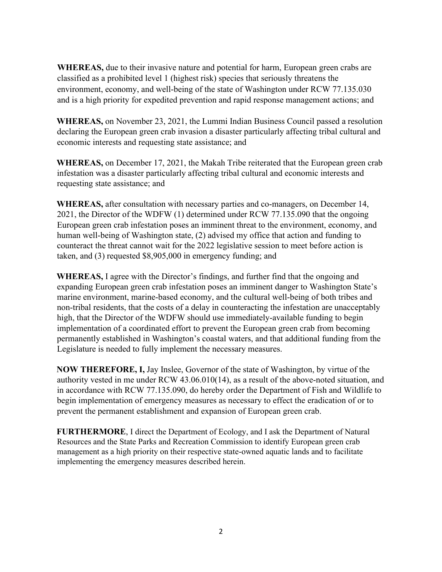**WHEREAS,** due to their invasive nature and potential for harm, European green crabs are classified as a prohibited level 1 (highest risk) species that seriously threatens the environment, economy, and well-being of the state of Washington under RCW 77.135.030 and is a high priority for expedited prevention and rapid response management actions; and

**WHEREAS,** on November 23, 2021, the Lummi Indian Business Council passed a resolution declaring the European green crab invasion a disaster particularly affecting tribal cultural and economic interests and requesting state assistance; and

**WHEREAS,** on December 17, 2021, the Makah Tribe reiterated that the European green crab infestation was a disaster particularly affecting tribal cultural and economic interests and requesting state assistance; and

**WHEREAS,** after consultation with necessary parties and co-managers, on December 14, 2021, the Director of the WDFW (1) determined under RCW 77.135.090 that the ongoing European green crab infestation poses an imminent threat to the environment, economy, and human well-being of Washington state, (2) advised my office that action and funding to counteract the threat cannot wait for the 2022 legislative session to meet before action is taken, and (3) requested \$8,905,000 in emergency funding; and

**WHEREAS,** I agree with the Director's findings, and further find that the ongoing and expanding European green crab infestation poses an imminent danger to Washington State's marine environment, marine-based economy, and the cultural well-being of both tribes and non-tribal residents, that the costs of a delay in counteracting the infestation are unacceptably high, that the Director of the WDFW should use immediately-available funding to begin implementation of a coordinated effort to prevent the European green crab from becoming permanently established in Washington's coastal waters, and that additional funding from the Legislature is needed to fully implement the necessary measures.

**NOW THEREFORE, I,** Jay Inslee, Governor of the state of Washington, by virtue of the authority vested in me under RCW 43.06.010(14), as a result of the above-noted situation, and in accordance with RCW 77.135.090, do hereby order the Department of Fish and Wildlife to begin implementation of emergency measures as necessary to effect the eradication of or to prevent the permanent establishment and expansion of European green crab.

**FURTHERMORE**, I direct the Department of Ecology, and I ask the Department of Natural Resources and the State Parks and Recreation Commission to identify European green crab management as a high priority on their respective state-owned aquatic lands and to facilitate implementing the emergency measures described herein.